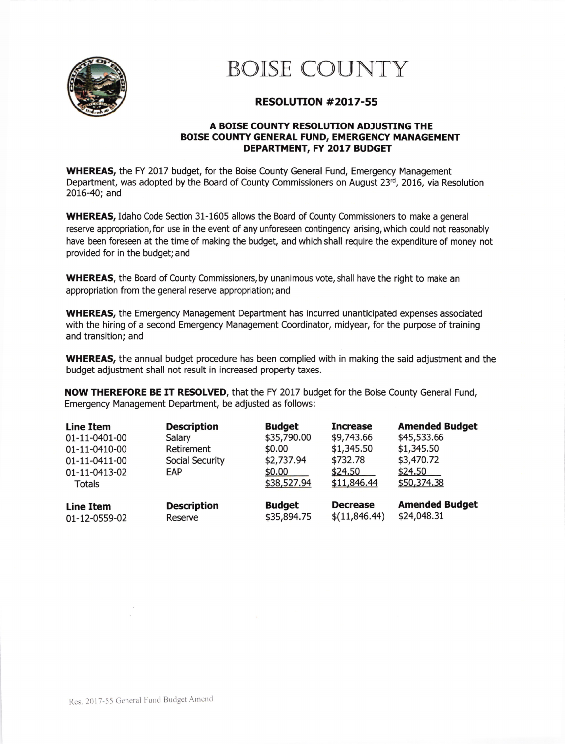

## BOISE COUNTY

## RESOLUTTON #2017-55

## A BOISE COUNTY RESOLUTION ADJUSTING THE BOISE COUNTY GENERAL FUND, EMERGENCY MANAGEMENT DEPARTMENT, FY 2017 BUDGET

WHEREAS, the FY 2017 budget, for the Boise County General Fund, Emergency Management Department, was adopted by the Board of County Commissioners on August  $23<sup>rd</sup>$ , 2016, via Resolution 2016-40; and

WHEREAS, Idaho Code Section 31-1605 allows the Board of County Commissioners to make a general reserve appropriation, for use in the event of any unforeseen contingency arising, which could not reasonably have been foreseen at the time of making the budget, and which shall require the expenditure of money not provided for in the budget; and

WHEREAS, the Board of County Commissioners, by unanimous vote, shall have the right to make an appropriation from the general reserve appropriation; and

WHEREAS, the Emergency Management Department has incurred unanticipated expenses associated with the hiring of a second Emergency Management Coordinator, midyear, for the purpose of training and transition; and

WHEREAS, the annual budget procedure has been complied with in making the said adjustment and the budget adjustment shall not result in increased property taxes.

NOW THEREFORE BE IT RESOLVED, that the FY 2017 budget for the Boise County General Fund, Emergency Management Department, be adjusted as follows:

| <b>Line Item</b><br>01-11-0401-00<br>01-11-0410-00<br>01-11-0411-00<br>01-11-0413-02<br>Totals | <b>Description</b><br>Salary<br>Retirement<br>Social Security<br>EAP | <b>Budget</b><br>\$35,790.00<br>\$0.00<br>\$2,737.94<br>\$0.00<br>\$38,527.94 | <b>Increase</b><br>\$9,743.66<br>\$1,345.50<br>\$732.78<br>\$24.50<br>\$11,846.44 | <b>Amended Budget</b><br>\$45,533.66<br>\$1,345.50<br>\$3,470.72<br>\$24.50<br>\$50,374.38 |
|------------------------------------------------------------------------------------------------|----------------------------------------------------------------------|-------------------------------------------------------------------------------|-----------------------------------------------------------------------------------|--------------------------------------------------------------------------------------------|
| <b>Line Item</b>                                                                               | <b>Description</b>                                                   | <b>Budget</b>                                                                 | <b>Decrease</b>                                                                   | <b>Amended Budget</b>                                                                      |
| 01-12-0559-02                                                                                  | Reserve                                                              | \$35,894.75                                                                   | \$(11,846.44)                                                                     | \$24,048.31                                                                                |